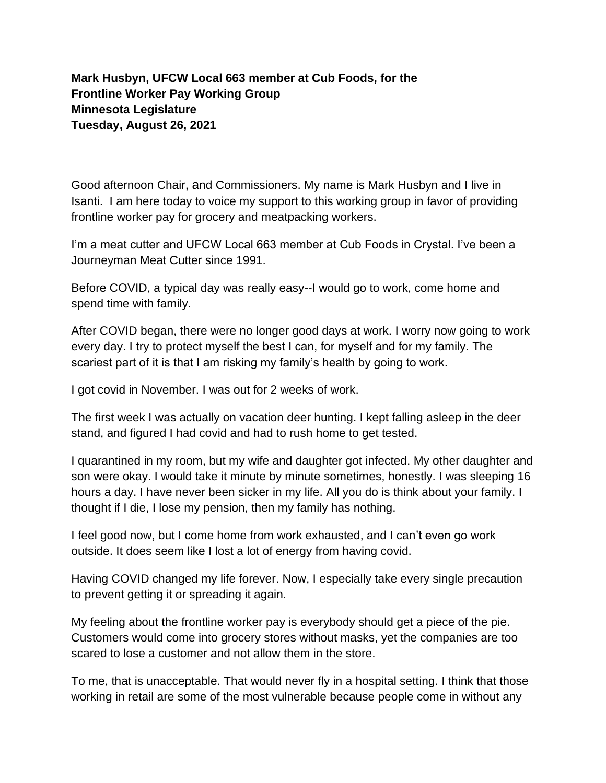**Mark Husbyn, UFCW Local 663 member at Cub Foods, for the Frontline Worker Pay Working Group Minnesota Legislature Tuesday, August 26, 2021** 

Good afternoon Chair, and Commissioners. My name is Mark Husbyn and I live in Isanti. I am here today to voice my support to this working group in favor of providing frontline worker pay for grocery and meatpacking workers.

I'm a meat cutter and UFCW Local 663 member at Cub Foods in Crystal. I've been a Journeyman Meat Cutter since 1991.

Before COVID, a typical day was really easy--I would go to work, come home and spend time with family.

After COVID began, there were no longer good days at work. I worry now going to work every day. I try to protect myself the best I can, for myself and for my family. The scariest part of it is that I am risking my family's health by going to work.

I got covid in November. I was out for 2 weeks of work.

The first week I was actually on vacation deer hunting. I kept falling asleep in the deer stand, and figured I had covid and had to rush home to get tested.

I quarantined in my room, but my wife and daughter got infected. My other daughter and son were okay. I would take it minute by minute sometimes, honestly. I was sleeping 16 hours a day. I have never been sicker in my life. All you do is think about your family. I thought if I die, I lose my pension, then my family has nothing.

I feel good now, but I come home from work exhausted, and I can't even go work outside. It does seem like I lost a lot of energy from having covid.

Having COVID changed my life forever. Now, I especially take every single precaution to prevent getting it or spreading it again.

My feeling about the frontline worker pay is everybody should get a piece of the pie. Customers would come into grocery stores without masks, yet the companies are too scared to lose a customer and not allow them in the store.

To me, that is unacceptable. That would never fly in a hospital setting. I think that those working in retail are some of the most vulnerable because people come in without any